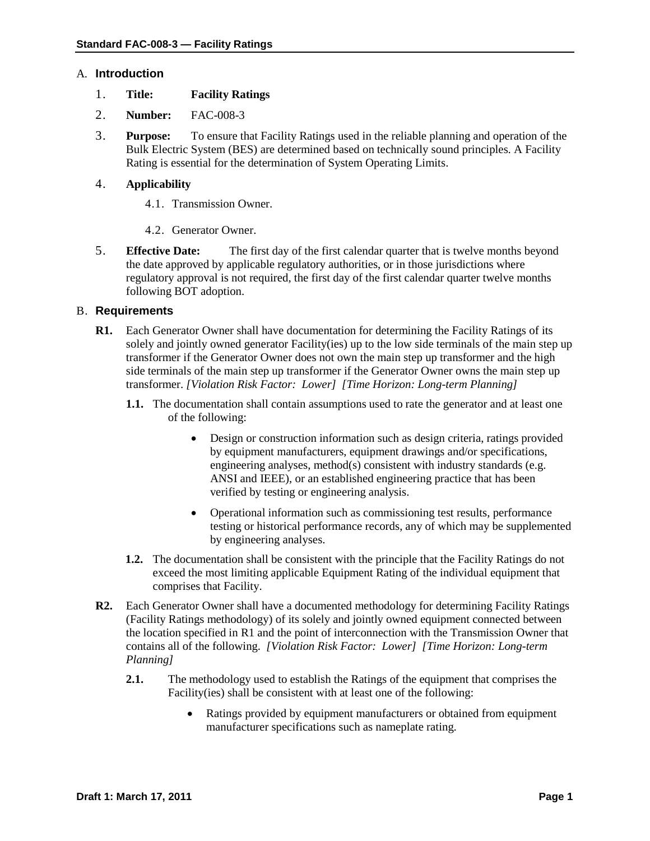## A. **Introduction**

- 1. **Title: Facility Ratings**
- 2. **Number:** FAC-008-3
- 3. **Purpose:** To ensure that Facility Ratings used in the reliable planning and operation of the Bulk Electric System (BES) are determined based on technically sound principles. A Facility Rating is essential for the determination of System Operating Limits.

# 4. **Applicability**

- 4.1. Transmission Owner.
- 4.2. Generator Owner.
- 5. **Effective Date:** The first day of the first calendar quarter that is twelve months beyond the date approved by applicable regulatory authorities, or in those jurisdictions where regulatory approval is not required, the first day of the first calendar quarter twelve months following BOT adoption.

## B. **Requirements**

- **R1.** Each Generator Owner shall have documentation for determining the Facility Ratings of its solely and jointly owned generator Facility(ies) up to the low side terminals of the main step up transformer if the Generator Owner does not own the main step up transformer and the high side terminals of the main step up transformer if the Generator Owner owns the main step up transformer. *[Violation Risk Factor: Lower] [Time Horizon: Long-term Planning]*
	- **1.1.** The documentation shall contain assumptions used to rate the generator and at least one of the following:
		- Design or construction information such as design criteria, ratings provided by equipment manufacturers, equipment drawings and/or specifications, engineering analyses, method(s) consistent with industry standards (e.g. ANSI and IEEE), or an established engineering practice that has been verified by testing or engineering analysis.
		- Operational information such as commissioning test results, performance testing or historical performance records, any of which may be supplemented by engineering analyses.
	- **1.2.** The documentation shall be consistent with the principle that the Facility Ratings do not exceed the most limiting applicable Equipment Rating of the individual equipment that comprises that Facility.
- **R2.** Each Generator Owner shall have a documented methodology for determining Facility Ratings (Facility Ratings methodology) of its solely and jointly owned equipment connected between the location specified in R1 and the point of interconnection with the Transmission Owner that contains all of the following. *[Violation Risk Factor: Lower] [Time Horizon: Long-term Planning]*
	- **2.1.** The methodology used to establish the Ratings of the equipment that comprises the Facility(ies) shall be consistent with at least one of the following:
		- Ratings provided by equipment manufacturers or obtained from equipment manufacturer specifications such as nameplate rating.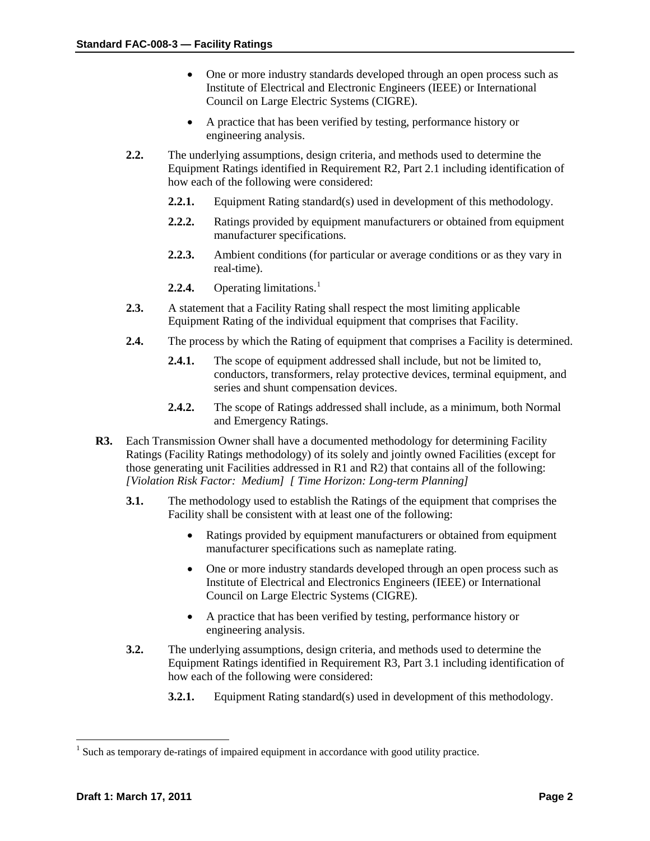- One or more industry standards developed through an open process such as Institute of Electrical and Electronic Engineers (IEEE) or International Council on Large Electric Systems (CIGRE).
- A practice that has been verified by testing, performance history or engineering analysis.
- **2.2.** The underlying assumptions, design criteria, and methods used to determine the Equipment Ratings identified in Requirement R2, Part 2.1 including identification of how each of the following were considered:
	- **2.2.1.** Equipment Rating standard(s) used in development of this methodology.
	- **2.2.2.** Ratings provided by equipment manufacturers or obtained from equipment manufacturer specifications.
	- **2.2.3.** Ambient conditions (for particular or average conditions or as they vary in real-time).
	- **2.2.4.** Operating limitations. [1](#page-1-0)
- **2.3.** A statement that a Facility Rating shall respect the most limiting applicable Equipment Rating of the individual equipment that comprises that Facility.
- **2.4.** The process by which the Rating of equipment that comprises a Facility is determined.
	- **2.4.1.** The scope of equipment addressed shall include, but not be limited to, conductors, transformers, relay protective devices, terminal equipment, and series and shunt compensation devices.
	- **2.4.2.** The scope of Ratings addressed shall include, as a minimum, both Normal and Emergency Ratings.
- **R3.** Each Transmission Owner shall have a documented methodology for determining Facility Ratings (Facility Ratings methodology) of its solely and jointly owned Facilities (except for those generating unit Facilities addressed in R1 and R2) that contains all of the following: *[Violation Risk Factor: Medium] [ Time Horizon: Long-term Planning]*
	- **3.1.** The methodology used to establish the Ratings of the equipment that comprises the Facility shall be consistent with at least one of the following:
		- Ratings provided by equipment manufacturers or obtained from equipment manufacturer specifications such as nameplate rating.
		- One or more industry standards developed through an open process such as Institute of Electrical and Electronics Engineers (IEEE) or International Council on Large Electric Systems (CIGRE).
		- A practice that has been verified by testing, performance history or engineering analysis.
	- **3.2.** The underlying assumptions, design criteria, and methods used to determine the Equipment Ratings identified in Requirement R3, Part 3.1 including identification of how each of the following were considered:
		- **3.2.1.** Equipment Rating standard(s) used in development of this methodology.

<span id="page-1-0"></span><sup>&</sup>lt;sup>1</sup> Such as temporary de-ratings of impaired equipment in accordance with good utility practice.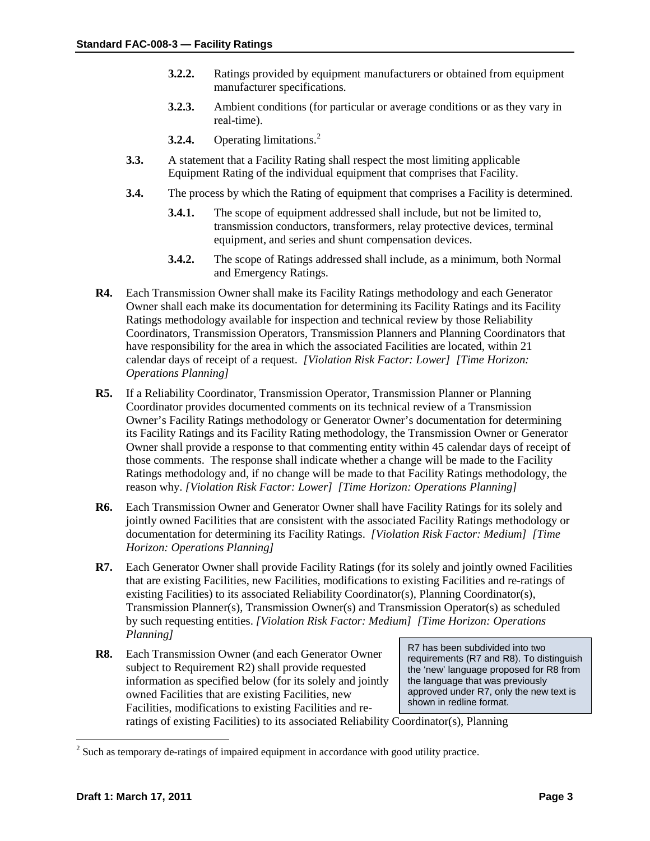- **3.2.2.** Ratings provided by equipment manufacturers or obtained from equipment manufacturer specifications.
- **3.2.3.** Ambient conditions (for particular or average conditions or as they vary in real-time).
- **3.2.4.** Operating limitations. [2](#page-2-0)
- **3.3.** A statement that a Facility Rating shall respect the most limiting applicable Equipment Rating of the individual equipment that comprises that Facility.
- **3.4.** The process by which the Rating of equipment that comprises a Facility is determined.
	- **3.4.1.** The scope of equipment addressed shall include, but not be limited to, transmission conductors, transformers, relay protective devices, terminal equipment, and series and shunt compensation devices.
	- **3.4.2.** The scope of Ratings addressed shall include, as a minimum, both Normal and Emergency Ratings.
- **R4.** Each Transmission Owner shall make its Facility Ratings methodology and each Generator Owner shall each make its documentation for determining its Facility Ratings and its Facility Ratings methodology available for inspection and technical review by those Reliability Coordinators, Transmission Operators, Transmission Planners and Planning Coordinators that have responsibility for the area in which the associated Facilities are located, within 21 calendar days of receipt of a request. *[Violation Risk Factor: Lower] [Time Horizon: Operations Planning]*
- **R5.** If a Reliability Coordinator, Transmission Operator, Transmission Planner or Planning Coordinator provides documented comments on its technical review of a Transmission Owner's Facility Ratings methodology or Generator Owner's documentation for determining its Facility Ratings and its Facility Rating methodology, the Transmission Owner or Generator Owner shall provide a response to that commenting entity within 45 calendar days of receipt of those comments. The response shall indicate whether a change will be made to the Facility Ratings methodology and, if no change will be made to that Facility Ratings methodology, the reason why. *[Violation Risk Factor: Lower] [Time Horizon: Operations Planning]*
- **R6.** Each Transmission Owner and Generator Owner shall have Facility Ratings for its solely and jointly owned Facilities that are consistent with the associated Facility Ratings methodology or documentation for determining its Facility Ratings. *[Violation Risk Factor: Medium] [Time Horizon: Operations Planning]*
- **R7.** Each Generator Owner shall provide Facility Ratings (for its solely and jointly owned Facilities that are existing Facilities, new Facilities, modifications to existing Facilities and re-ratings of existing Facilities) to its associated Reliability Coordinator(s), Planning Coordinator(s), Transmission Planner(s), Transmission Owner(s) and Transmission Operator(s) as scheduled by such requesting entities. *[Violation Risk Factor: Medium] [Time Horizon: Operations Planning]*
- **R8.** Each Transmission Owner (and each Generator Owner subject to Requirement R2) shall provide requested information as specified below (for its solely and jointly owned Facilities that are existing Facilities, new Facilities, modifications to existing Facilities and re-

R7 has been subdivided into two requirements (R7 and R8). To distinguish the 'new' language proposed for R8 from the language that was previously approved under R7, only the new text is shown in redline format.

ratings of existing Facilities) to its associated Reliability Coordinator(s), Planning

<span id="page-2-0"></span><sup>&</sup>lt;sup>2</sup> Such as temporary de-ratings of impaired equipment in accordance with good utility practice.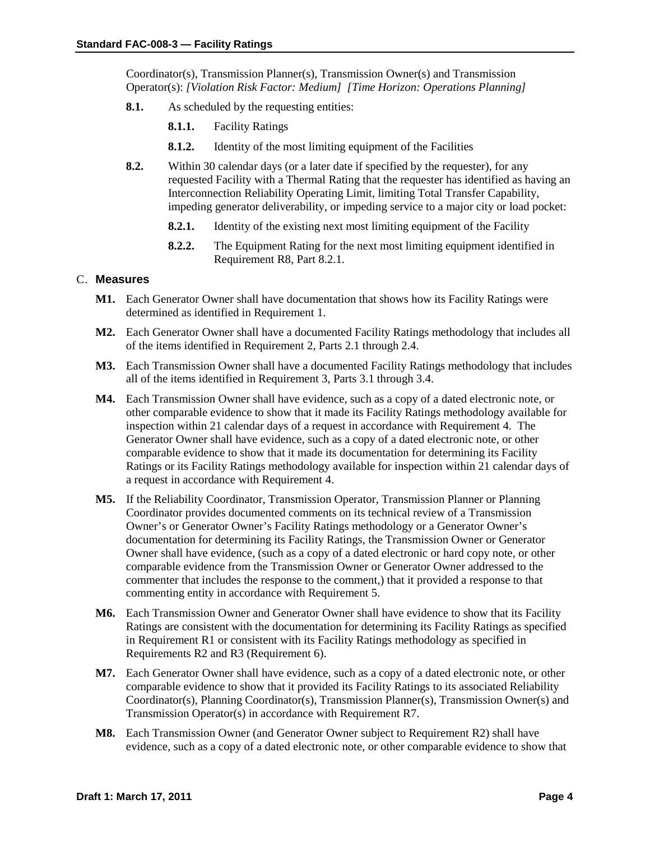Coordinator(s), Transmission Planner(s), Transmission Owner(s) and Transmission Operator(s): *[Violation Risk Factor: Medium] [Time Horizon: Operations Planning]*

- **8.1.** As scheduled by the requesting entities:
	- **8.1.1.** Facility Ratings
	- **8.1.2.** Identity of the most limiting equipment of the Facilities
- **8.2.** Within 30 calendar days (or a later date if specified by the requester), for any requested Facility with a Thermal Rating that the requester has identified as having an Interconnection Reliability Operating Limit, limiting Total Transfer Capability, impeding generator deliverability, or impeding service to a major city or load pocket:
	- **8.2.1.** Identity of the existing next most limiting equipment of the Facility
	- **8.2.2.** The Equipment Rating for the next most limiting equipment identified in Requirement R8, Part 8.2.1.

# C. **Measures**

- **M1.** Each Generator Owner shall have documentation that shows how its Facility Ratings were determined as identified in Requirement 1.
- **M2.** Each Generator Owner shall have a documented Facility Ratings methodology that includes all of the items identified in Requirement 2, Parts 2.1 through 2.4.
- **M3.** Each Transmission Owner shall have a documented Facility Ratings methodology that includes all of the items identified in Requirement 3, Parts 3.1 through 3.4.
- **M4.** Each Transmission Owner shall have evidence, such as a copy of a dated electronic note, or other comparable evidence to show that it made its Facility Ratings methodology available for inspection within 21 calendar days of a request in accordance with Requirement 4. The Generator Owner shall have evidence, such as a copy of a dated electronic note, or other comparable evidence to show that it made its documentation for determining its Facility Ratings or its Facility Ratings methodology available for inspection within 21 calendar days of a request in accordance with Requirement 4.
- **M5.** If the Reliability Coordinator, Transmission Operator, Transmission Planner or Planning Coordinator provides documented comments on its technical review of a Transmission Owner's or Generator Owner's Facility Ratings methodology or a Generator Owner's documentation for determining its Facility Ratings, the Transmission Owner or Generator Owner shall have evidence, (such as a copy of a dated electronic or hard copy note, or other comparable evidence from the Transmission Owner or Generator Owner addressed to the commenter that includes the response to the comment,) that it provided a response to that commenting entity in accordance with Requirement 5.
- **M6.** Each Transmission Owner and Generator Owner shall have evidence to show that its Facility Ratings are consistent with the documentation for determining its Facility Ratings as specified in Requirement R1 or consistent with its Facility Ratings methodology as specified in Requirements R2 and R3 (Requirement 6).
- **M7.** Each Generator Owner shall have evidence, such as a copy of a dated electronic note, or other comparable evidence to show that it provided its Facility Ratings to its associated Reliability Coordinator(s), Planning Coordinator(s), Transmission Planner(s), Transmission Owner(s) and Transmission Operator(s) in accordance with Requirement R7.
- **M8.** Each Transmission Owner (and Generator Owner subject to Requirement R2) shall have evidence, such as a copy of a dated electronic note, or other comparable evidence to show that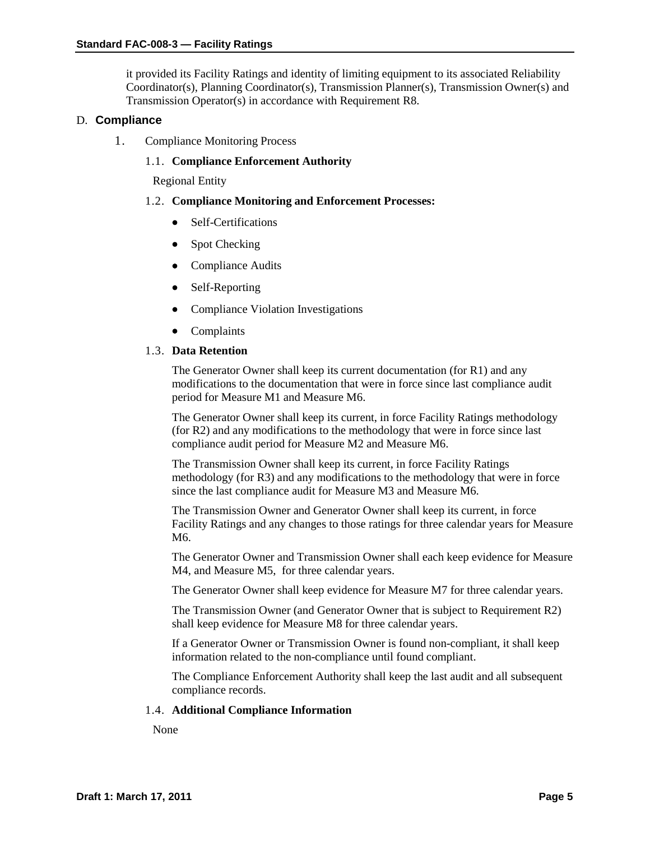it provided its Facility Ratings and identity of limiting equipment to its associated Reliability Coordinator(s), Planning Coordinator(s), Transmission Planner(s), Transmission Owner(s) and Transmission Operator(s) in accordance with Requirement R8.

### D. **Compliance**

1. Compliance Monitoring Process

## 1.1. **Compliance Enforcement Authority**

Regional Entity

#### 1.2. **Compliance Monitoring and Enforcement Processes:**

- Self-Certifications
- Spot Checking
- Compliance Audits
- Self-Reporting
- Compliance Violation Investigations
- Complaints

### 1.3. **Data Retention**

The Generator Owner shall keep its current documentation (for R1) and any modifications to the documentation that were in force since last compliance audit period for Measure M1 and Measure M6.

The Generator Owner shall keep its current, in force Facility Ratings methodology (for R2) and any modifications to the methodology that were in force since last compliance audit period for Measure M2 and Measure M6.

The Transmission Owner shall keep its current, in force Facility Ratings methodology (for R3) and any modifications to the methodology that were in force since the last compliance audit for Measure M3 and Measure M6.

The Transmission Owner and Generator Owner shall keep its current, in force Facility Ratings and any changes to those ratings for three calendar years for Measure M6.

The Generator Owner and Transmission Owner shall each keep evidence for Measure M4, and Measure M5, for three calendar years.

The Generator Owner shall keep evidence for Measure M7 for three calendar years.

The Transmission Owner (and Generator Owner that is subject to Requirement R2) shall keep evidence for Measure M8 for three calendar years.

If a Generator Owner or Transmission Owner is found non-compliant, it shall keep information related to the non-compliance until found compliant.

The Compliance Enforcement Authority shall keep the last audit and all subsequent compliance records.

#### 1.4. **Additional Compliance Information**

None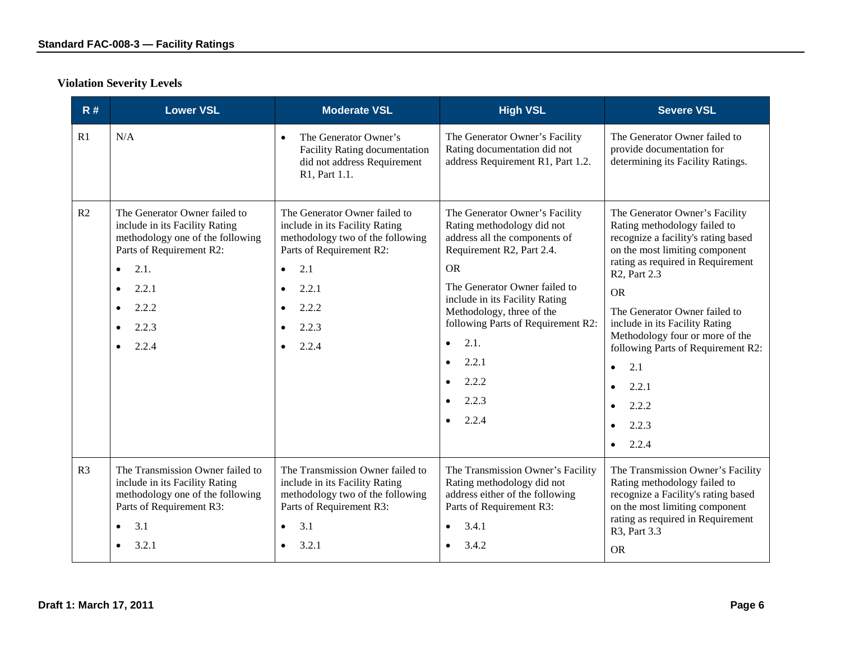# **Violation Severity Levels**

| R#             | <b>Lower VSL</b>                                                                                                                                                                                                                             | <b>Moderate VSL</b>                                                                                                                                                                                  | <b>High VSL</b>                                                                                                                                                                                                                                                                                                                                     | <b>Severe VSL</b>                                                                                                                                                                                                                                                                                                                                                                                                                                                 |
|----------------|----------------------------------------------------------------------------------------------------------------------------------------------------------------------------------------------------------------------------------------------|------------------------------------------------------------------------------------------------------------------------------------------------------------------------------------------------------|-----------------------------------------------------------------------------------------------------------------------------------------------------------------------------------------------------------------------------------------------------------------------------------------------------------------------------------------------------|-------------------------------------------------------------------------------------------------------------------------------------------------------------------------------------------------------------------------------------------------------------------------------------------------------------------------------------------------------------------------------------------------------------------------------------------------------------------|
| R1             | N/A                                                                                                                                                                                                                                          | The Generator Owner's<br>$\bullet$<br><b>Facility Rating documentation</b><br>did not address Requirement<br>R1, Part 1.1.                                                                           | The Generator Owner's Facility<br>Rating documentation did not<br>address Requirement R1, Part 1.2.                                                                                                                                                                                                                                                 | The Generator Owner failed to<br>provide documentation for<br>determining its Facility Ratings.                                                                                                                                                                                                                                                                                                                                                                   |
| R2             | The Generator Owner failed to<br>include in its Facility Rating<br>methodology one of the following<br>Parts of Requirement R2:<br>2.1.<br>$\bullet$<br>2.2.1<br>$\bullet$<br>2.2.2<br>$\bullet$<br>2.2.3<br>$\bullet$<br>2.2.4<br>$\bullet$ | The Generator Owner failed to<br>include in its Facility Rating<br>methodology two of the following<br>Parts of Requirement R2:<br>2.1<br>$\bullet$<br>2.2.1<br>$\bullet$<br>2.2.2<br>2.2.3<br>2.2.4 | The Generator Owner's Facility<br>Rating methodology did not<br>address all the components of<br>Requirement R2, Part 2.4.<br><b>OR</b><br>The Generator Owner failed to<br>include in its Facility Rating<br>Methodology, three of the<br>following Parts of Requirement R2:<br>2.1.<br>$\bullet$<br>2.2.1<br>$\bullet$<br>2.2.2<br>2.2.3<br>2.2.4 | The Generator Owner's Facility<br>Rating methodology failed to<br>recognize a facility's rating based<br>on the most limiting component<br>rating as required in Requirement<br>R <sub>2</sub> , Part 2.3<br><b>OR</b><br>The Generator Owner failed to<br>include in its Facility Rating<br>Methodology four or more of the<br>following Parts of Requirement R2:<br>2.1<br>$\bullet$<br>2.2.1<br>$\bullet$<br>2.2.2<br>2.2.3<br>$\bullet$<br>2.2.4<br>$\bullet$ |
| R <sub>3</sub> | The Transmission Owner failed to<br>include in its Facility Rating<br>methodology one of the following<br>Parts of Requirement R3:<br>3.1<br>$\bullet$<br>3.2.1<br>$\bullet$                                                                 | The Transmission Owner failed to<br>include in its Facility Rating<br>methodology two of the following<br>Parts of Requirement R3:<br>3.1<br>$\bullet$<br>3.2.1                                      | The Transmission Owner's Facility<br>Rating methodology did not<br>address either of the following<br>Parts of Requirement R3:<br>3.4.1<br>3.4.2                                                                                                                                                                                                    | The Transmission Owner's Facility<br>Rating methodology failed to<br>recognize a Facility's rating based<br>on the most limiting component<br>rating as required in Requirement<br>R3, Part 3.3<br><b>OR</b>                                                                                                                                                                                                                                                      |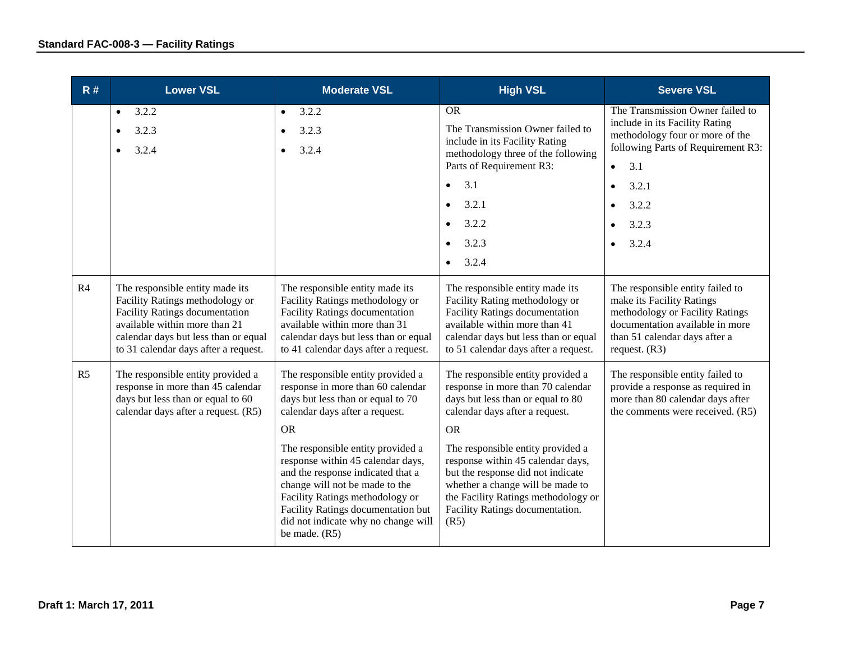| R#             | <b>Lower VSL</b>                                                                                                                                                                                                             | <b>Moderate VSL</b>                                                                                                                                                                                                                                                              | <b>High VSL</b>                                                                                                                                                                                                                   | <b>Severe VSL</b>                                                                                                                                                                              |
|----------------|------------------------------------------------------------------------------------------------------------------------------------------------------------------------------------------------------------------------------|----------------------------------------------------------------------------------------------------------------------------------------------------------------------------------------------------------------------------------------------------------------------------------|-----------------------------------------------------------------------------------------------------------------------------------------------------------------------------------------------------------------------------------|------------------------------------------------------------------------------------------------------------------------------------------------------------------------------------------------|
|                | 3.2.2<br>$\bullet$<br>3.2.3<br>$\bullet$<br>3.2.4                                                                                                                                                                            | 3.2.2<br>$\bullet$<br>3.2.3<br>3.2.4                                                                                                                                                                                                                                             | <b>OR</b><br>The Transmission Owner failed to<br>include in its Facility Rating<br>methodology three of the following<br>Parts of Requirement R3:<br>3.1<br>$\bullet$<br>3.2.1<br>$\bullet$                                       | The Transmission Owner failed to<br>include in its Facility Rating<br>methodology four or more of the<br>following Parts of Requirement R3:<br>3.1<br>$\bullet$<br>3.2.1<br>$\bullet$<br>3.2.2 |
|                |                                                                                                                                                                                                                              |                                                                                                                                                                                                                                                                                  | 3.2.2<br>$\bullet$                                                                                                                                                                                                                | 3.2.3                                                                                                                                                                                          |
|                |                                                                                                                                                                                                                              |                                                                                                                                                                                                                                                                                  | 3.2.3<br>$\bullet$<br>3.2.4<br>$\bullet$                                                                                                                                                                                          | 3.2.4                                                                                                                                                                                          |
| R <sub>4</sub> | The responsible entity made its<br>Facility Ratings methodology or<br><b>Facility Ratings documentation</b><br>available within more than 21<br>calendar days but less than or equal<br>to 31 calendar days after a request. | The responsible entity made its<br>Facility Ratings methodology or<br><b>Facility Ratings documentation</b><br>available within more than 31<br>calendar days but less than or equal<br>to 41 calendar days after a request.                                                     | The responsible entity made its<br>Facility Rating methodology or<br><b>Facility Ratings documentation</b><br>available within more than 41<br>calendar days but less than or equal<br>to 51 calendar days after a request.       | The responsible entity failed to<br>make its Facility Ratings<br>methodology or Facility Ratings<br>documentation available in more<br>than 51 calendar days after a<br>request. $(R3)$        |
| R <sub>5</sub> | The responsible entity provided a<br>response in more than 45 calendar<br>days but less than or equal to 60<br>calendar days after a request. (R5)                                                                           | The responsible entity provided a<br>response in more than 60 calendar<br>days but less than or equal to 70<br>calendar days after a request.<br><b>OR</b>                                                                                                                       | The responsible entity provided a<br>response in more than 70 calendar<br>days but less than or equal to 80<br>calendar days after a request.<br><b>OR</b>                                                                        | The responsible entity failed to<br>provide a response as required in<br>more than 80 calendar days after<br>the comments were received. (R5)                                                  |
|                |                                                                                                                                                                                                                              | The responsible entity provided a<br>response within 45 calendar days,<br>and the response indicated that a<br>change will not be made to the<br>Facility Ratings methodology or<br>Facility Ratings documentation but<br>did not indicate why no change will<br>be made. $(R5)$ | The responsible entity provided a<br>response within 45 calendar days,<br>but the response did not indicate<br>whether a change will be made to<br>the Facility Ratings methodology or<br>Facility Ratings documentation.<br>(R5) |                                                                                                                                                                                                |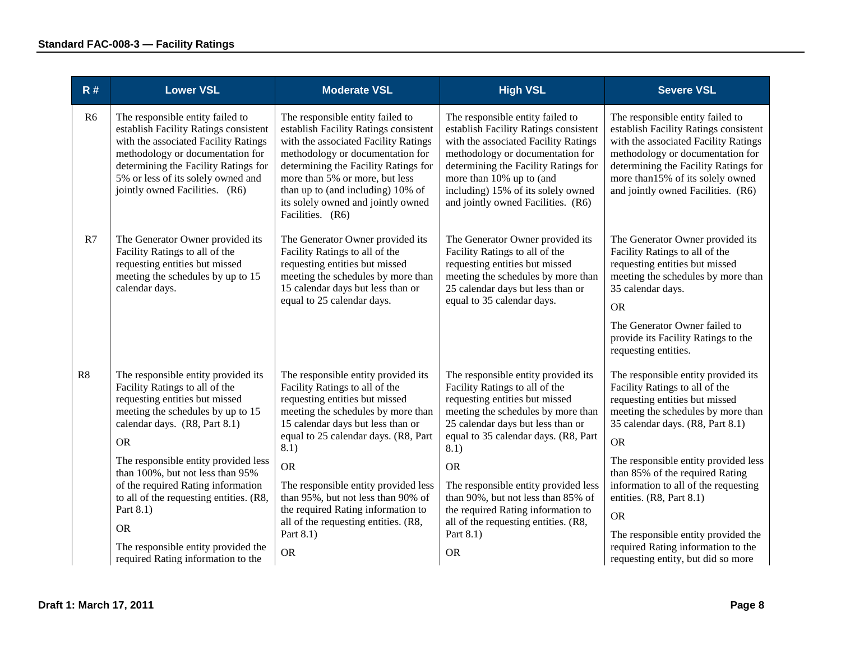| R#             | <b>Lower VSL</b>                                                                                                                                                                                                                                                                                                                                                                                                                                               | <b>Moderate VSL</b>                                                                                                                                                                                                                                                                                                                                                                                                                   | <b>High VSL</b>                                                                                                                                                                                                                                                                                                                                                                                                                       | <b>Severe VSL</b>                                                                                                                                                                                                                                                                                                                                                                                                                                                             |
|----------------|----------------------------------------------------------------------------------------------------------------------------------------------------------------------------------------------------------------------------------------------------------------------------------------------------------------------------------------------------------------------------------------------------------------------------------------------------------------|---------------------------------------------------------------------------------------------------------------------------------------------------------------------------------------------------------------------------------------------------------------------------------------------------------------------------------------------------------------------------------------------------------------------------------------|---------------------------------------------------------------------------------------------------------------------------------------------------------------------------------------------------------------------------------------------------------------------------------------------------------------------------------------------------------------------------------------------------------------------------------------|-------------------------------------------------------------------------------------------------------------------------------------------------------------------------------------------------------------------------------------------------------------------------------------------------------------------------------------------------------------------------------------------------------------------------------------------------------------------------------|
| R <sub>6</sub> | The responsible entity failed to<br>establish Facility Ratings consistent<br>with the associated Facility Ratings<br>methodology or documentation for<br>determining the Facility Ratings for<br>5% or less of its solely owned and<br>jointly owned Facilities. (R6)                                                                                                                                                                                          | The responsible entity failed to<br>establish Facility Ratings consistent<br>with the associated Facility Ratings<br>methodology or documentation for<br>determining the Facility Ratings for<br>more than 5% or more, but less<br>than up to (and including) 10% of<br>its solely owned and jointly owned<br>Facilities. (R6)                                                                                                        | The responsible entity failed to<br>establish Facility Ratings consistent<br>with the associated Facility Ratings<br>methodology or documentation for<br>determining the Facility Ratings for<br>more than 10% up to (and<br>including) 15% of its solely owned<br>and jointly owned Facilities. (R6)                                                                                                                                 | The responsible entity failed to<br>establish Facility Ratings consistent<br>with the associated Facility Ratings<br>methodology or documentation for<br>determining the Facility Ratings for<br>more than 15% of its solely owned<br>and jointly owned Facilities. (R6)                                                                                                                                                                                                      |
| R7             | The Generator Owner provided its<br>Facility Ratings to all of the<br>requesting entities but missed<br>meeting the schedules by up to 15<br>calendar days.                                                                                                                                                                                                                                                                                                    | The Generator Owner provided its<br>Facility Ratings to all of the<br>requesting entities but missed<br>meeting the schedules by more than<br>15 calendar days but less than or<br>equal to 25 calendar days.                                                                                                                                                                                                                         | The Generator Owner provided its<br>Facility Ratings to all of the<br>requesting entities but missed<br>meeting the schedules by more than<br>25 calendar days but less than or<br>equal to 35 calendar days.                                                                                                                                                                                                                         | The Generator Owner provided its<br>Facility Ratings to all of the<br>requesting entities but missed<br>meeting the schedules by more than<br>35 calendar days.<br><b>OR</b><br>The Generator Owner failed to<br>provide its Facility Ratings to the<br>requesting entities.                                                                                                                                                                                                  |
| R8             | The responsible entity provided its<br>Facility Ratings to all of the<br>requesting entities but missed<br>meeting the schedules by up to 15<br>calendar days. (R8, Part 8.1)<br><b>OR</b><br>The responsible entity provided less<br>than 100%, but not less than 95%<br>of the required Rating information<br>to all of the requesting entities. (R8,<br>Part 8.1)<br><b>OR</b><br>The responsible entity provided the<br>required Rating information to the | The responsible entity provided its<br>Facility Ratings to all of the<br>requesting entities but missed<br>meeting the schedules by more than<br>15 calendar days but less than or<br>equal to 25 calendar days. (R8, Part<br>8.1)<br><b>OR</b><br>The responsible entity provided less<br>than 95%, but not less than 90% of<br>the required Rating information to<br>all of the requesting entities. (R8,<br>Part 8.1)<br><b>OR</b> | The responsible entity provided its<br>Facility Ratings to all of the<br>requesting entities but missed<br>meeting the schedules by more than<br>25 calendar days but less than or<br>equal to 35 calendar days. (R8, Part<br>8.1)<br><b>OR</b><br>The responsible entity provided less<br>than 90%, but not less than 85% of<br>the required Rating information to<br>all of the requesting entities. (R8,<br>Part 8.1)<br><b>OR</b> | The responsible entity provided its<br>Facility Ratings to all of the<br>requesting entities but missed<br>meeting the schedules by more than<br>35 calendar days. (R8, Part 8.1)<br><b>OR</b><br>The responsible entity provided less<br>than 85% of the required Rating<br>information to all of the requesting<br>entities. (R8, Part 8.1)<br><b>OR</b><br>The responsible entity provided the<br>required Rating information to the<br>requesting entity, but did so more |